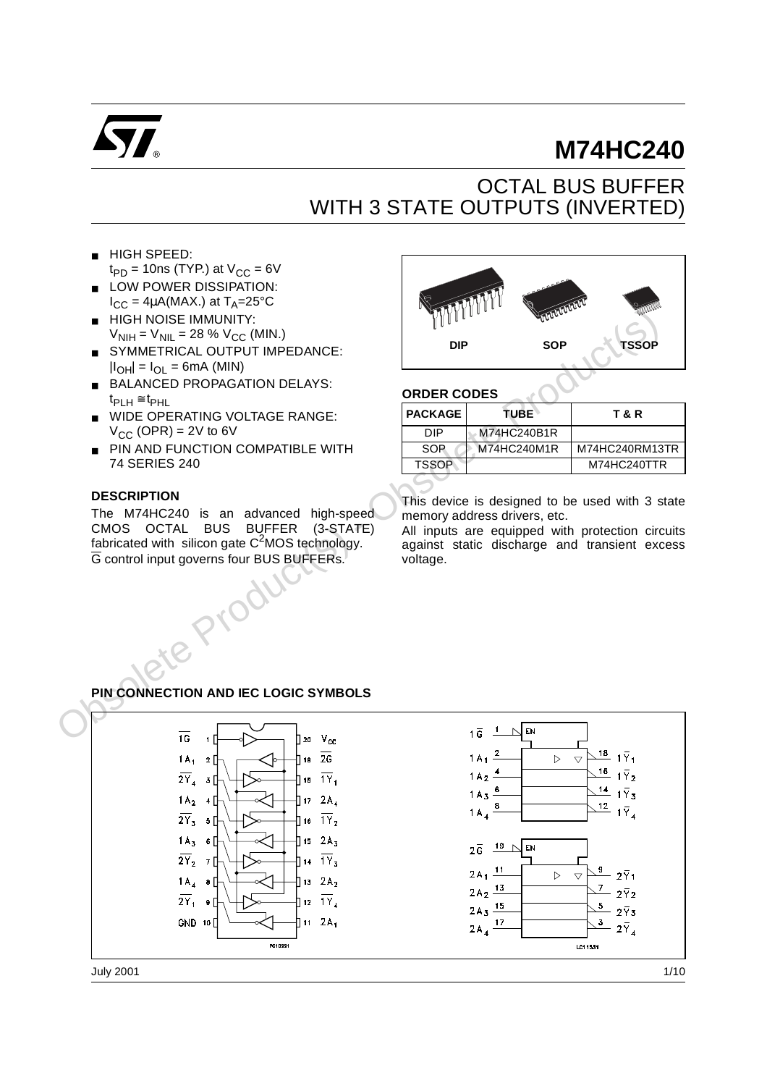

# **M74HC240**

## OCTAL BUS BUFFER WITH 3 STATE OUTPUTS (INVERTED)

- HIGH SPEED:  $t_{PD}$  = 10ns (TYP.) at  $V_{CC}$  = 6V
- LOW POWER DISSIPATION:  $I_{CC} = 4\mu A(MAX.)$  at  $T_A = 25^{\circ}C$
- **HIGH NOISE IMMUNITY:**  $V_{\text{NIH}} = V_{\text{NIL}} = 28 \% V_{\text{CC}}$  (MIN.)
- SYMMETRICAL OUTPUT IMPEDANCE:  $|I_{OH}| = I_{OL} = 6mA$  (MIN)
- BALANCED PROPAGATION DELAYS:  $t_{\text{PLH}} \cong t_{\text{PHL}}$
- WIDE OPERATING VOLTAGE RANGE:  $V_{CC}$  (OPR) = 2V to 6V
- PIN AND FUNCTION COMPATIBLE WITH 74 SERIES 240

#### **DESCRIPTION**

The M74HC240 is an advanced high-speed CMOS OCTAL BUS BUFFER (3-STATE) fabricated with silicon gate  $C<sup>2</sup>MOS$  technology. G control input governs four BUS BUFFERs.



#### **ORDER CODES**

| <b>PACKAGE</b> | TUBE`       | T & R          |
|----------------|-------------|----------------|
| DIP            | M74HC240B1R |                |
| SOP            | M74HC240M1R | M74HC240RM13TR |
| <b>TSSOP</b>   |             | M74HC240TTR    |
|                |             |                |

This device is designed to be used with 3 state memory address drivers, etc.

All inputs are equipped with protection circuits against static discharge and transient excess voltage.

#### **PIN CONNECTION AND IEC LOGIC SYMBOLS**

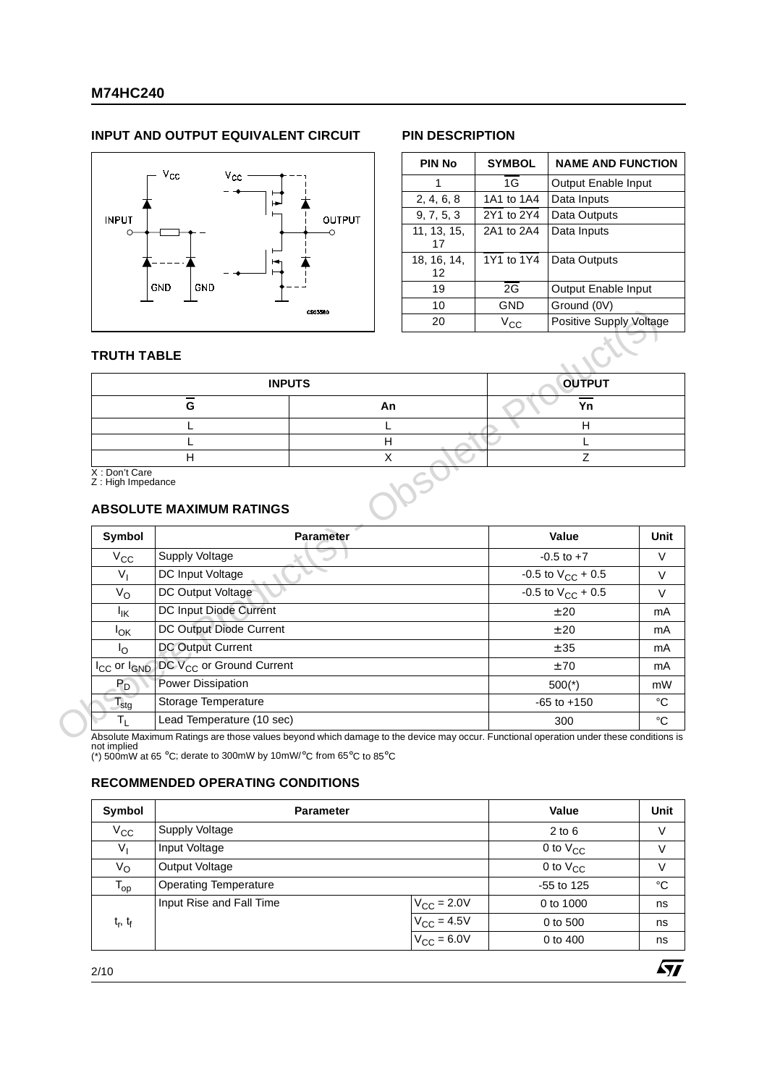#### **INPUT AND OUTPUT EQUIVALENT CIRCUIT PIN DESCRIPTION**



| <b>PIN No</b>     | <b>SYMBOL</b> | <b>NAME AND FUNCTION</b> |
|-------------------|---------------|--------------------------|
| 1                 | 1G            | Output Enable Input      |
| 2, 4, 6, 8        | 1A1 to 1A4    | Data Inputs              |
| 9, 7, 5, 3        | 2Y1 to 2Y4    | Data Outputs             |
| 11, 13, 15,<br>17 | 2A1 to 2A4    | Data Inputs              |
| 18, 16, 14,<br>12 | 1Y1 to 1Y4    | Data Outputs             |
| 19                | 2G            | Output Enable Input      |
| 10                | GND           | Ground (0V)              |
| 20                | $V_{\rm CC}$  | Positive Supply Voltage  |
|                   |               |                          |

 $\sqrt{27}$ 

#### **TRUTH TABLE**

| <b>INPUTS</b>                                                          |    | <b>OUTPUT</b> |
|------------------------------------------------------------------------|----|---------------|
| G                                                                      | An | Υn            |
|                                                                        |    | Н             |
|                                                                        |    |               |
| H                                                                      |    |               |
| X: Don't Care<br>Z : High Impedance<br><b>ABSOLUTE MAXIMUM RATINGS</b> |    |               |
|                                                                        |    |               |

#### **ABSOLUTE MAXIMUM RATINGS**

|                                              |                                                                                                                                                                                                                                                                                                                                                                                                               |    | <b>OUTPUT</b>                        |
|----------------------------------------------|---------------------------------------------------------------------------------------------------------------------------------------------------------------------------------------------------------------------------------------------------------------------------------------------------------------------------------------------------------------------------------------------------------------|----|--------------------------------------|
|                                              | G                                                                                                                                                                                                                                                                                                                                                                                                             | An | Yn                                   |
|                                              |                                                                                                                                                                                                                                                                                                                                                                                                               | H  | H                                    |
|                                              | <b>CS03580</b><br><b>TRUTH TABLE</b><br><b>INPUTS</b><br>H<br>X: Don't Care<br>Z : High Impedance<br><b>ABSOLUTE MAXIMUM RATINGS</b><br><b>Parameter</b><br>Supply Voltage<br>$V_{CC}$<br>$V_{1}$<br>DC Input Voltage<br>DC Output Voltage<br>$V_{\rm O}$<br>DC Input Diode Current<br>lικ<br>DC Output Diode Current<br>$I_{OK}$<br>DC Output Current<br>$I_{\rm O}$<br>DC V <sub>CC</sub> or Ground Current |    | Z                                    |
|                                              |                                                                                                                                                                                                                                                                                                                                                                                                               |    |                                      |
| Symbol                                       |                                                                                                                                                                                                                                                                                                                                                                                                               |    | Value                                |
|                                              |                                                                                                                                                                                                                                                                                                                                                                                                               |    | $-0.5$ to $+7$                       |
|                                              |                                                                                                                                                                                                                                                                                                                                                                                                               |    | $-0.5$ to $V_{CC}$ + 0.5             |
|                                              |                                                                                                                                                                                                                                                                                                                                                                                                               |    |                                      |
|                                              |                                                                                                                                                                                                                                                                                                                                                                                                               |    |                                      |
|                                              |                                                                                                                                                                                                                                                                                                                                                                                                               |    | ±20                                  |
|                                              |                                                                                                                                                                                                                                                                                                                                                                                                               |    | ± 20                                 |
|                                              |                                                                                                                                                                                                                                                                                                                                                                                                               |    | ± 35                                 |
|                                              |                                                                                                                                                                                                                                                                                                                                                                                                               |    | ±70                                  |
| I <sub>CC</sub> or I <sub>GND</sub><br>$P_D$ | <b>Power Dissipation</b>                                                                                                                                                                                                                                                                                                                                                                                      |    | $-0.5$ to $V_{CC}$ + 0.5<br>$500(*)$ |
| $\mathsf{T}_{\mathsf{stg}}$                  | Storage Temperature                                                                                                                                                                                                                                                                                                                                                                                           |    | $-65$ to $+150$                      |

#### **RECOMMENDED OPERATING CONDITIONS**

| Symbol                          | <b>Parameter</b>             |                        | Value         | <b>Unit</b> |
|---------------------------------|------------------------------|------------------------|---------------|-------------|
| $V_{\rm CC}$                    | <b>Supply Voltage</b>        |                        | $2$ to $6$    | V           |
| $V_{I}$                         | Input Voltage                |                        | 0 to $V_{CC}$ | V           |
| $V_{\rm O}$                     | <b>Output Voltage</b>        |                        | 0 to $V_{CC}$ | V           |
| $T_{op}$                        | <b>Operating Temperature</b> |                        | $-55$ to 125  | °C          |
|                                 | Input Rise and Fall Time     | $V_{\text{CC}} = 2.0V$ | 0 to 1000     | ns          |
| t <sub>r</sub> , t <sub>f</sub> |                              | $V_{\text{CC}} = 4.5V$ | 0 to 500      | ns          |
|                                 |                              | $V_{CC}$ = 6.0V        | 0 to 400      | ns          |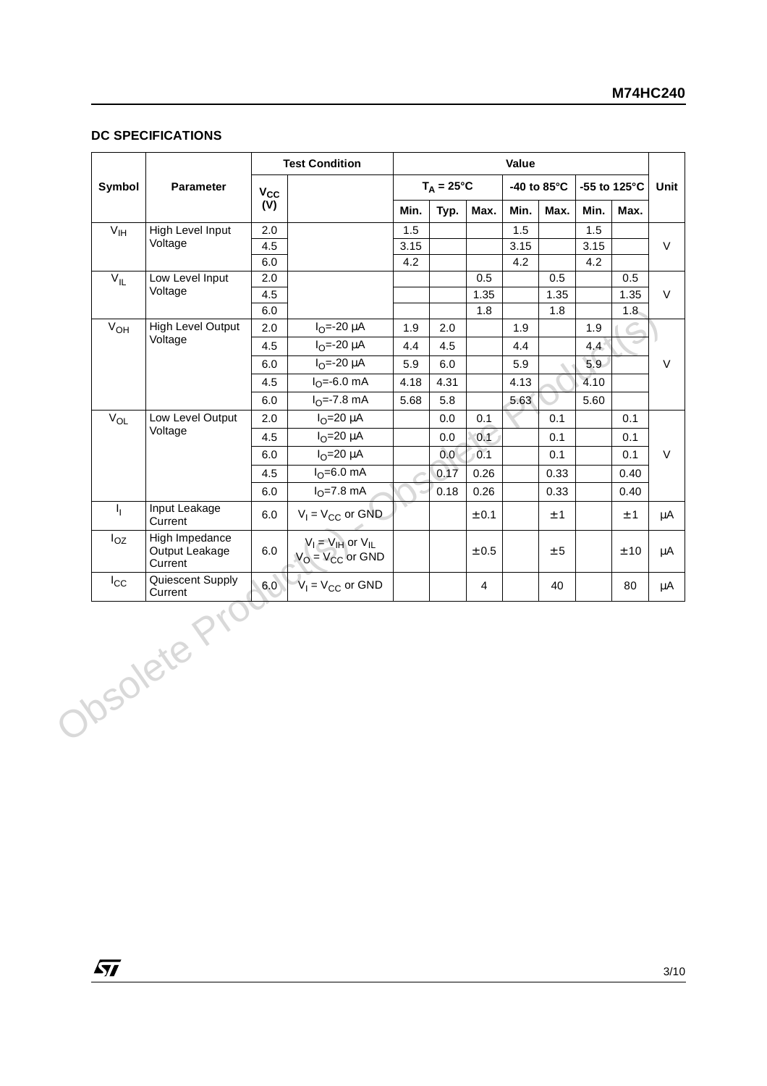#### **DC SPECIFICATIONS**

|                 |                                             |              | <b>Test Condition</b>                               |              |                     |                | Value       |                       |              |          |
|-----------------|---------------------------------------------|--------------|-----------------------------------------------------|--------------|---------------------|----------------|-------------|-----------------------|--------------|----------|
| Symbol          | Parameter                                   | $V_{\rm CC}$ |                                                     |              | $T_A = 25^{\circ}C$ |                |             | -40 to $85^{\circ}$ C | -55 to 125°C |          |
|                 |                                             | (V)          |                                                     | Min.         | Typ.                | Max.           | Min.        | Max.                  | Min.         | Max.     |
| V <sub>IH</sub> | <b>High Level Input</b>                     | 2.0          |                                                     | 1.5          |                     |                | 1.5         |                       | 1.5          |          |
|                 | Voltage                                     | 4.5          |                                                     | 3.15         |                     |                | 3.15        |                       | 3.15         |          |
|                 |                                             | 6.0          |                                                     | 4.2          |                     |                | 4.2         |                       | 4.2          |          |
| $V_{IL}$        | Low Level Input<br>Voltage                  | 2.0          |                                                     |              |                     | 0.5            |             | 0.5                   |              | 0.5      |
|                 |                                             | 4.5          |                                                     |              |                     | 1.35<br>1.8    |             | 1.35                  |              | 1.35     |
| $V_{OH}$        | <b>High Level Output</b>                    | 6.0<br>2.0   | $I_{O} = -20 \mu A$                                 | 1.9          | 2.0                 |                | 1.9         | 1.8                   | 1.9          | $1.8 -$  |
|                 | Voltage                                     | 4.5          | $I_{O} = -20 \mu A$                                 | 4.4          |                     |                |             |                       |              |          |
|                 |                                             |              | $I_{O} = -20 \mu A$                                 |              | 4.5                 |                | 4.4         |                       | 4,4<br>5.9   |          |
|                 |                                             | 6.0<br>4.5   | $I_{\Omega} = -6.0$ mA                              | 5.9          | $6.0\,$             |                | 5.9<br>4.13 |                       | 4.10         |          |
|                 |                                             | $6.0\,$      | $IO=-7.8 mA$                                        | 4.18<br>5.68 | 4.31<br>5.8         |                | 5.63        |                       | 5.60         |          |
| $V_{OL}$        | Low Level Output                            | 2.0          | $IO=20 \mu A$                                       |              | $0.0\,$             | 0.1            |             | 0.1                   |              | 0.1      |
|                 | Voltage                                     | 4.5          | $IO=20 \mu A$                                       |              | $0.0\,$             | 0.1            |             | 0.1                   |              | 0.1      |
|                 |                                             | 6.0          | $IO=20 \mu A$                                       |              | 0.0                 | 0.1            |             | 0.1                   |              | 0.1      |
|                 |                                             | 4.5          | $IO=6.0$ mA                                         |              | 0.17                | 0.26           |             | 0.33                  |              | 0.40     |
|                 |                                             | $6.0\,$      | $IO=7.8 mA$                                         |              | 0.18                | 0.26           |             | 0.33                  |              | 0.40     |
| $I_{\rm L}$     | Input Leakage<br>Current                    | $6.0\,$      | $V_1 = V_{CC}$ or GND                               |              |                     | $\pm$ 0.1      |             | $\pm$ 1               |              | $\pm$ 1  |
| $I_{OZ}$        | High Impedance<br>Output Leakage<br>Current | 6.0          | $V_I = V_{IH}$ or $V_{IL}$<br>$V_O = V_{CC}$ or GND |              |                     | $\pm$ 0.5      |             | $\pm\,5$              |              | $\pm$ 10 |
| $I_{\rm CC}$    | Quiescent Supply<br>Current<br>Obsolete Pri | 6.0          | $V_1 = V_{CC}$ or GND                               |              |                     | $\overline{4}$ |             | 40                    |              | 80       |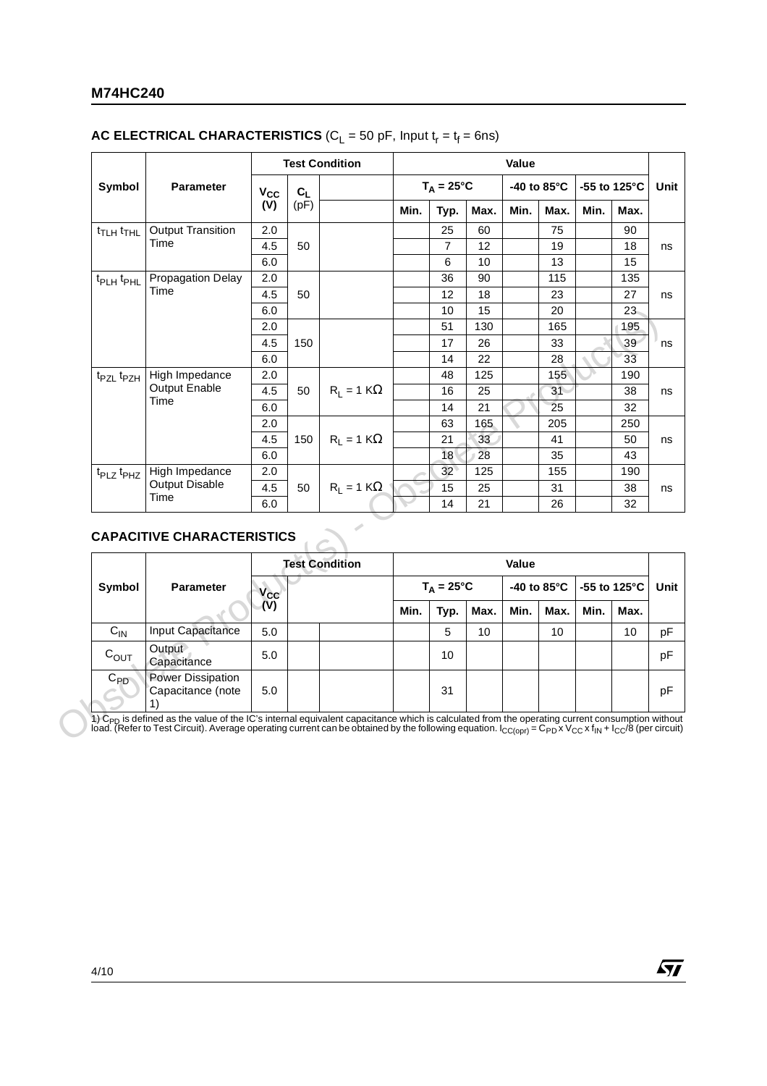#### **M74HC240**

#### **AC ELECTRICAL CHARACTERISTICS** ( $C_L$  = 50 pF, Input  $t_r = t_f = 6$ ns)

|                                   |                                                       |                     |       | <b>Test Condition</b> |      |                     |      | Value |                       |                         |            |
|-----------------------------------|-------------------------------------------------------|---------------------|-------|-----------------------|------|---------------------|------|-------|-----------------------|-------------------------|------------|
| Symbol                            | Parameter                                             | $V_{CC}$            | $C_L$ |                       |      | $T_A = 25^{\circ}C$ |      |       | -40 to $85^{\circ}$ C | -55 to 125 $^{\circ}$ C |            |
|                                   |                                                       | (V)                 | (pF)  |                       | Min. | Typ.                | Max. | Min.  | Max.                  | Min.                    | Max.       |
| t <sub>TLH</sub> t <sub>THL</sub> | <b>Output Transition</b>                              | 2.0                 |       |                       |      | 25                  | 60   |       | 75                    |                         | 90         |
|                                   | Time                                                  | 4.5                 | 50    |                       |      | $\overline{7}$      | 12   |       | 19                    |                         | 18         |
|                                   |                                                       | 6.0                 |       |                       |      | 6                   | 10   |       | 13                    |                         | 15         |
| t <sub>PLH</sub> t <sub>PHL</sub> | <b>Propagation Delay</b>                              | 2.0                 |       |                       |      | 36                  | 90   |       | 115                   |                         | 135        |
|                                   | Time                                                  | 4.5                 | 50    |                       |      | 12                  | 18   |       | 23                    |                         | 27         |
|                                   |                                                       | 6.0                 |       |                       |      | 10                  | 15   |       | 20                    |                         | 23         |
|                                   |                                                       | 2.0                 |       |                       |      | 51                  | 130  |       | 165                   |                         | 195        |
|                                   |                                                       | 4.5                 | 150   |                       |      | 17                  | 26   |       | 33                    |                         | 39         |
|                                   |                                                       | 6.0                 |       |                       |      | 14                  | 22   |       | 28                    |                         | 33         |
| t <sub>PZL</sub> t <sub>PZH</sub> | High Impedance                                        | 2.0                 |       |                       |      | 48                  | 125  |       | 155                   |                         | 190        |
|                                   | Output Enable<br>Time                                 | 4.5                 | 50    | $R_1 = 1 K\Omega$     |      | 16                  | 25   |       | 31                    |                         | 38         |
|                                   |                                                       | 6.0                 |       |                       |      | 14                  | 21   |       | 25                    |                         | 32         |
|                                   |                                                       | 2.0                 |       |                       |      | 63                  | 165  |       | 205                   |                         | 250        |
|                                   |                                                       | 4.5                 | 150   | $R_1 = 1 K\Omega$     |      | 21                  | 33   |       | 41                    |                         | 50         |
|                                   |                                                       | 6.0                 |       |                       |      | 18                  | 28   |       | 35                    |                         | 43         |
| t <sub>PLZ</sub> t <sub>PHZ</sub> | High Impedance                                        | 2.0                 |       |                       |      | 32                  | 125  |       | 155                   |                         | 190        |
|                                   | <b>Output Disable</b><br>Time                         | 4.5                 | 50    | $R_1 = 1 K\Omega$     |      | 15                  | 25   |       | 31                    |                         | 38         |
|                                   |                                                       | 6.0                 |       |                       |      | 14                  | 21   |       | 26                    |                         | 32         |
|                                   |                                                       |                     |       |                       |      |                     |      |       |                       |                         |            |
|                                   | <b>CAPACITIVE CHARACTERISTICS</b><br><b>Parameter</b> |                     |       | <b>Test Condition</b> |      |                     |      | Value |                       |                         |            |
| Symbol                            |                                                       | $V_{\rm CC}$<br>(V) |       |                       |      | $T_A = 25^{\circ}C$ |      |       | -40 to 85°C           | -55 to 125°C            |            |
|                                   |                                                       |                     |       |                       | Min. | Typ.                | Max. | Min.  | Max.                  | Min.                    | Max.<br>10 |
| $C_{IN}$<br>$C_{OUT}$             | Input Capacitance<br>Output<br>Capacitance            | 5.0<br>5.0          |       |                       |      | 5<br>10             | 10   |       | 10                    |                         |            |

## **CAPACITIVE CHARACTERISTICS**

|                        |                                               |          | <b>Test Condition</b> |      |                     |      | Value |                       |                           |      |      |
|------------------------|-----------------------------------------------|----------|-----------------------|------|---------------------|------|-------|-----------------------|---------------------------|------|------|
| Symbol                 | <b>Parameter</b>                              | $V_{CC}$ |                       |      | $T_A = 25^{\circ}C$ |      |       | -40 to $85^{\circ}$ C | $-55$ to 125 $^{\circ}$ C |      | Unit |
|                        |                                               | (V)      |                       | Min. | Typ.                | Max. | Min.  | Max.                  | Min.                      | Max. |      |
| $C_{IN}$               | Input Capacitance                             | 5.0      |                       |      | 5                   | 10   |       | 10                    |                           | 10   | рF   |
| $C_{OUT}$              | Output<br>Capacitance                         | 5.0      |                       |      | 10                  |      |       |                       |                           |      | pF   |
| $C_{PD}$<br>$\epsilon$ | <b>Power Dissipation</b><br>Capacitance (note | 5.0      |                       |      | 31                  |      |       |                       |                           |      | рF   |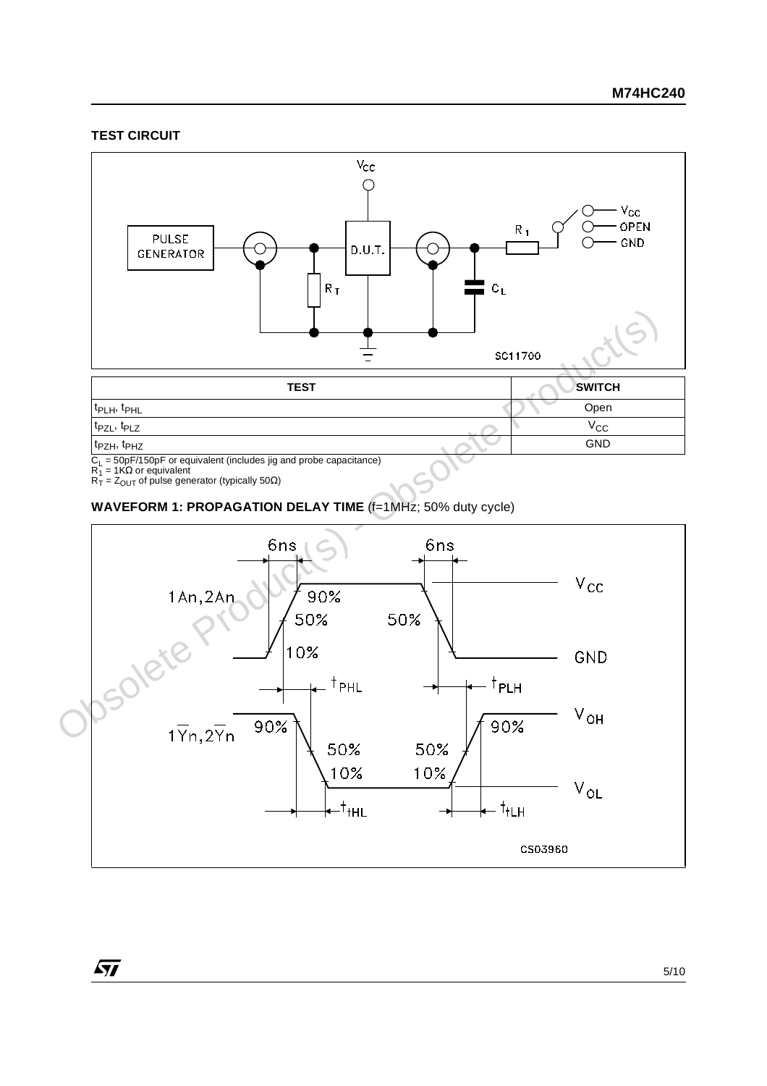#### **TEST CIRCUIT**



C<sub>L</sub> = 50pF/150pF or equivalent (includes jig and probe capacitance)<br>R<sub>1</sub> = 1KΩ or equivalent<br>R<sub>T</sub> = Z<sub>OUT</sub> of pulse generator (typically 50Ω)

 $\sqrt{27}$ 

**WAVEFORM 1: PROPAGATION DELAY TIME** (f=1MHz; 50% duty cycle)

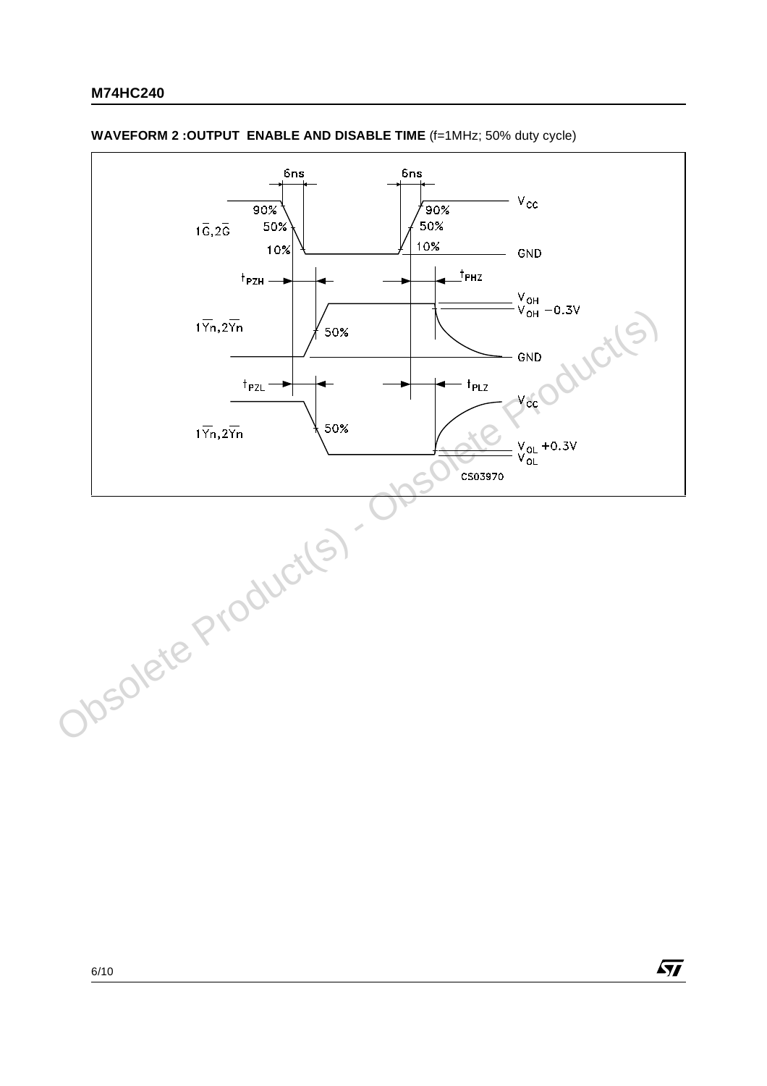

 $\sqrt{27}$ 

#### **WAVEFORM 2 : OUTPUT ENABLE AND DISABLE TIME** (f=1MHz; 50% duty cycle)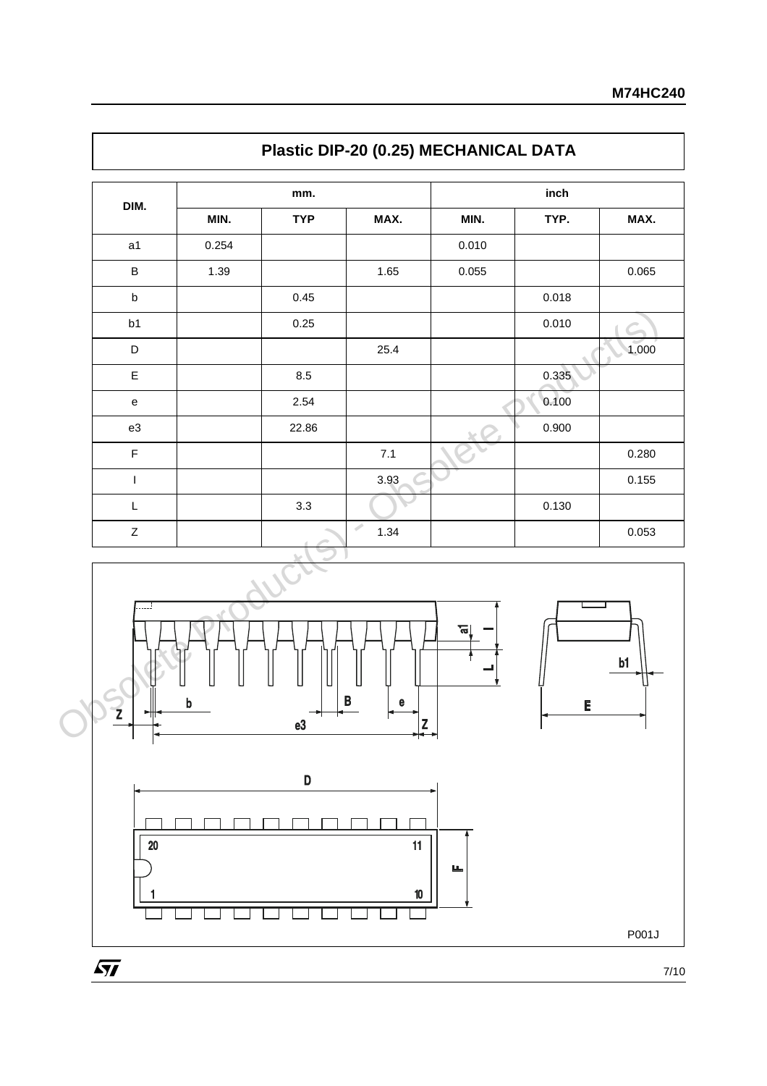| DIM.                                       |                           |            |                       |       |       |       |  |
|--------------------------------------------|---------------------------|------------|-----------------------|-------|-------|-------|--|
|                                            |                           | mm.        | inch                  |       |       |       |  |
|                                            | MIN.                      | <b>TYP</b> | MAX.                  | MIN.  | TYP.  | MAX.  |  |
| a1                                         | 0.254                     |            |                       | 0.010 |       |       |  |
| $\sf B$                                    | 1.39                      |            | 1.65                  | 0.055 |       | 0.065 |  |
| $\sf b$                                    |                           | 0.45       |                       |       | 0.018 |       |  |
| b1                                         |                           | 0.25       |                       |       | 0.010 |       |  |
| $\mathsf D$                                |                           |            | 25.4                  |       |       | 1.000 |  |
| $\mathsf E$                                |                           | 8.5        |                       |       | 0.335 |       |  |
| $\mathbf{e}% _{0}\left( \mathbf{1}\right)$ |                           | 2.54       |                       |       | 0.100 |       |  |
| e3                                         |                           | 22.86      |                       |       | 0.900 |       |  |
| $\mathsf F$                                |                           |            | $7.1$                 |       |       | 0.280 |  |
| $\mathsf{L}$                               |                           |            | 3.93                  |       |       | 0.155 |  |
| $\mathsf L$                                |                           | 3.3        |                       |       | 0.130 |       |  |
| $\mathsf{Z}$                               |                           |            | $\mathcal{P}$<br>1.34 |       |       | 0.053 |  |
| . i<br>Z<br>∽                              | $\boldsymbol{\mathsf{b}}$ | e3         | B<br>e<br>Z           | ਜ਼    | E     | b1    |  |





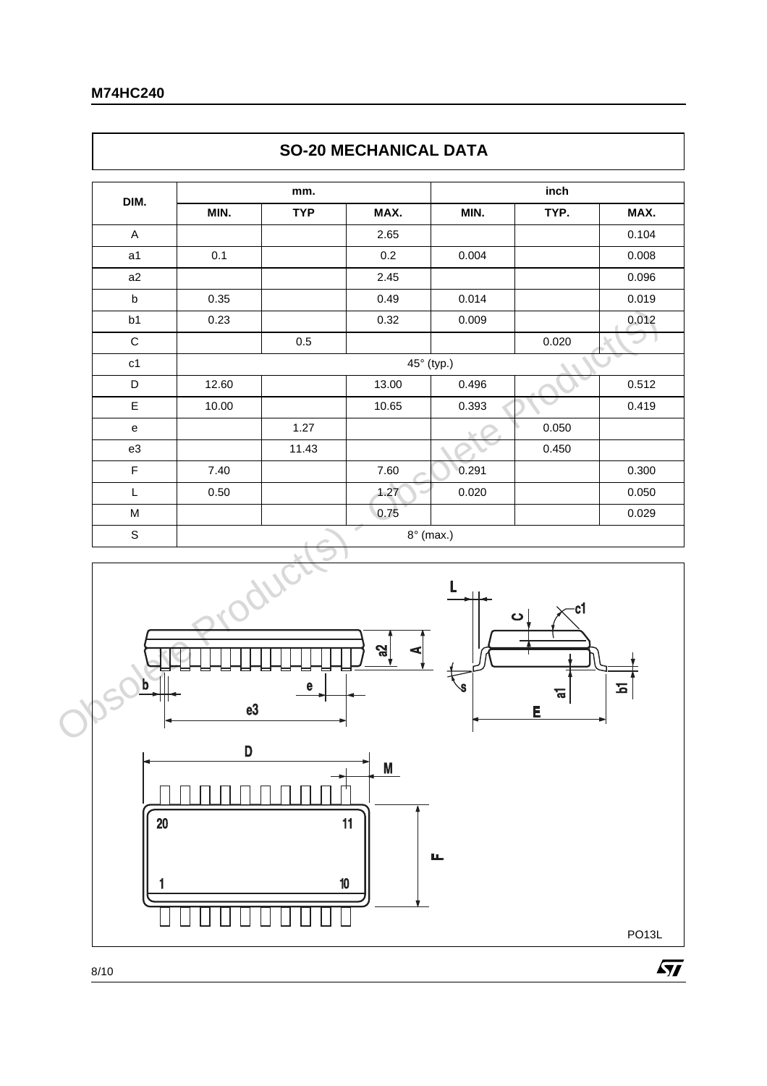$\lceil$ 

|             |       |            | <b><i>SU-ZU MEURANIUAL DATA</i></b> |       |       |       |
|-------------|-------|------------|-------------------------------------|-------|-------|-------|
| DIM.        |       | mm.        |                                     |       | inch  |       |
|             | MIN.  | <b>TYP</b> | MAX.                                | MIN.  | TYP.  | MAX.  |
| A           |       |            | 2.65                                |       |       | 0.104 |
| a1          | 0.1   |            | 0.2                                 | 0.004 |       | 0.008 |
| a2          |       |            | 2.45                                |       |       | 0.096 |
| b           | 0.35  |            | 0.49                                | 0.014 |       | 0.019 |
| b1          | 0.23  |            | 0.32                                | 0.009 |       | 0.012 |
| $\mathsf C$ |       | 0.5        |                                     |       | 0.020 |       |
| c1          |       |            | 45° (typ.)                          |       |       |       |
| D           | 12.60 |            | 13.00                               | 0.496 |       | 0.512 |
| E           | 10.00 |            | 10.65                               | 0.393 |       | 0.419 |
| e           |       | 1.27       |                                     |       | 0.050 |       |
| e3          |       | 11.43      |                                     |       | 0.450 |       |
| F           | 7.40  |            | 7.60                                | 0.291 |       | 0.300 |
| L           | 0.50  |            | 1.27                                | 0.020 |       | 0.050 |
| M           |       |            | 0.75                                |       |       | 0.029 |
| $\mathbb S$ |       |            | ÷<br>$8^\circ$ (max.)               |       |       |       |



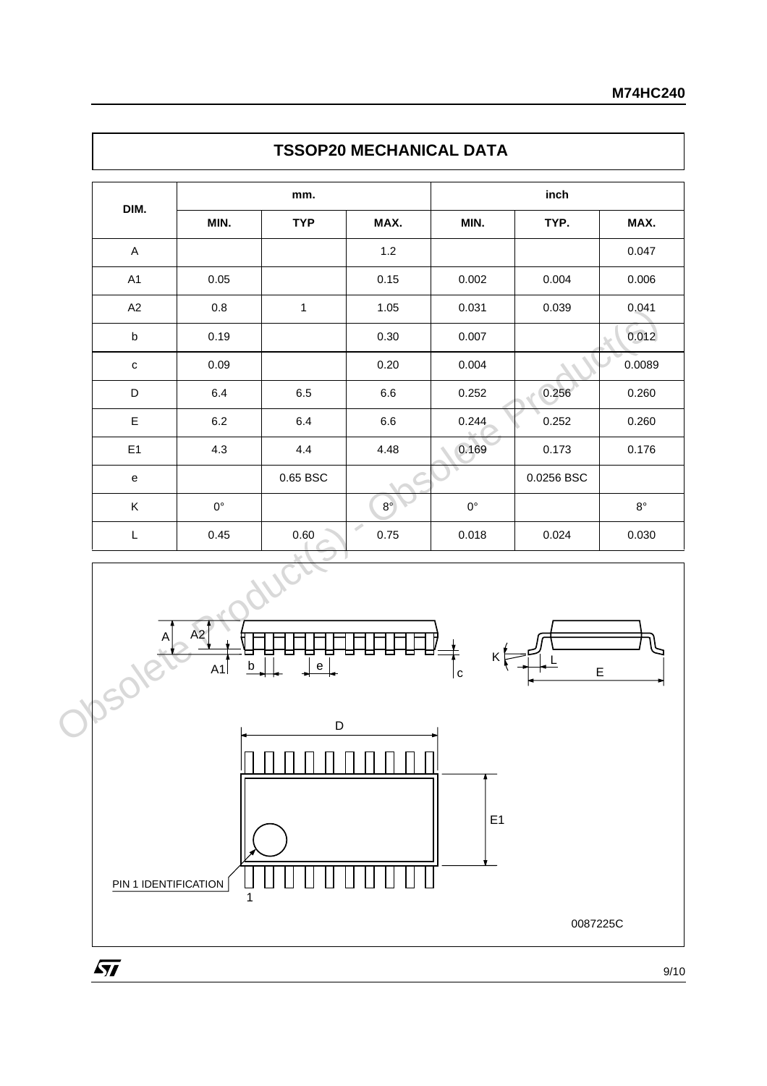| MIN.<br>MAX.<br><b>TYP</b><br>MIN.<br>TYP.<br>$1.2$<br>$\mathsf{A}$<br>0.15<br>A1<br>0.05<br>0.002<br>0.004<br>A2<br>$0.8\,$<br>1.05<br>0.031<br>0.039<br>$\mathbf{1}$<br>0.19<br>0.30<br>0.007<br>$\sf b$<br>0.09<br>0.20<br>0.004<br>$\mathtt{C}$<br>0.256<br>D<br>6.4<br>$6.6\,$<br>0.252<br>6.5<br>$\mathsf E$<br>0.252<br>6.2<br>6.4<br>6.6<br>0.244<br>4.3<br>4.4<br>4.48<br>E <sub>1</sub><br>0.169<br>0.173<br>0.65 BSC<br>0.0256 BSC<br>e<br>$0^{\circ}$<br>$8^{\circ}$<br>$0^{\circ}$<br>K<br>Í<br>0.45<br>0.60<br>0.75<br>0.024<br>L<br>0.018<br>A2<br>$\sf b$<br>$\mathsf{e}% _{t}\left( t\right)$<br>A1<br>$\mathsf E$ | DIM.   | mm. |   | inch |             |
|-------------------------------------------------------------------------------------------------------------------------------------------------------------------------------------------------------------------------------------------------------------------------------------------------------------------------------------------------------------------------------------------------------------------------------------------------------------------------------------------------------------------------------------------------------------------------------------------------------------------------------------|--------|-----|---|------|-------------|
|                                                                                                                                                                                                                                                                                                                                                                                                                                                                                                                                                                                                                                     |        |     |   |      | MAX.        |
|                                                                                                                                                                                                                                                                                                                                                                                                                                                                                                                                                                                                                                     |        |     |   |      | 0.047       |
|                                                                                                                                                                                                                                                                                                                                                                                                                                                                                                                                                                                                                                     |        |     |   |      | 0.006       |
|                                                                                                                                                                                                                                                                                                                                                                                                                                                                                                                                                                                                                                     |        |     |   |      | 0.041       |
|                                                                                                                                                                                                                                                                                                                                                                                                                                                                                                                                                                                                                                     |        |     |   |      | 0.012       |
|                                                                                                                                                                                                                                                                                                                                                                                                                                                                                                                                                                                                                                     |        |     |   |      | 0.0089      |
|                                                                                                                                                                                                                                                                                                                                                                                                                                                                                                                                                                                                                                     |        |     |   |      | 0.260       |
|                                                                                                                                                                                                                                                                                                                                                                                                                                                                                                                                                                                                                                     |        |     |   |      | 0.260       |
|                                                                                                                                                                                                                                                                                                                                                                                                                                                                                                                                                                                                                                     |        |     |   |      | 0.176       |
|                                                                                                                                                                                                                                                                                                                                                                                                                                                                                                                                                                                                                                     |        |     |   |      |             |
|                                                                                                                                                                                                                                                                                                                                                                                                                                                                                                                                                                                                                                     |        |     |   |      | $8^{\circ}$ |
|                                                                                                                                                                                                                                                                                                                                                                                                                                                                                                                                                                                                                                     |        |     |   |      | 0.030       |
|                                                                                                                                                                                                                                                                                                                                                                                                                                                                                                                                                                                                                                     | Jbsoll |     | c |      |             |

### **TSSOP20 MECHANICAL DATA**



 $\sqrt{M}$